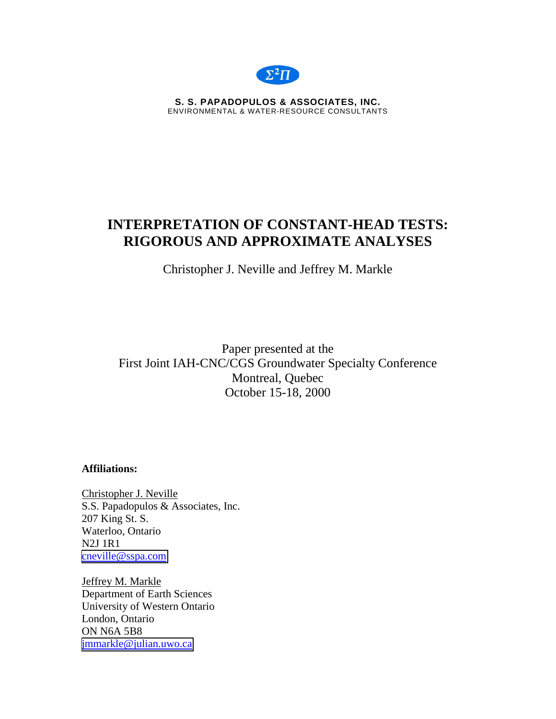

**S. S. PAPADOPULOS & ASSOCIATES, INC.**  ENVIRONMENTAL & WATER-RESOURCE CONSULTANTS

# **INTERPRETATION OF CONSTANT-HEAD TESTS: RIGOROUS AND APPROXIMATE ANALYSES**

Christopher J. Neville and Jeffrey M. Markle

Paper presented at the First Joint IAH-CNC/CGS Groundwater Specialty Conference Montreal, Quebec October 15-18, 2000

**Affiliations:** 

Christopher J. Neville S.S. Papadopulos & Associates, Inc. 207 King St. S. Waterloo, Ontario N2J 1R1 [cneville@sspa.com](mailto:cneville@sspa.com)

Jeffrey M. Markle Department of Earth Sciences University of Western Ontario London, Ontario ON N6A 5B8 [jmmarkle@julian.uwo.ca](mailto:jmmarkle@julian.uwo.ca)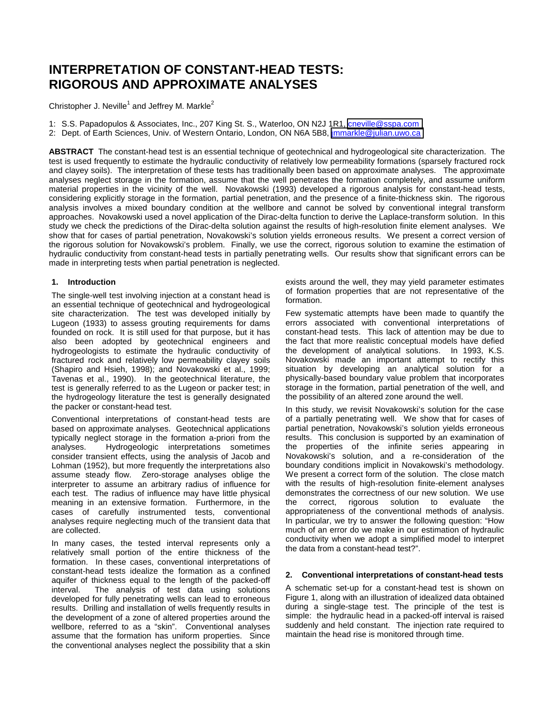# **INTERPRETATION OF CONSTANT-HEAD TESTS: RIGOROUS AND APPROXIMATE ANALYSES**

Christopher J. Neville<sup>1</sup> and Jeffrey M. Markle<sup>2</sup>

1: S.S. Papadopulos & Associates, Inc., 207 King St. S., Waterloo, ON N2J 1R1, [cneville@sspa.com](mailto:cneville@sspa.com)

2: Dept. of Earth Sciences, Univ. of Western Ontario, London, ON N6A 5B8, *jmmarkle@julian.uwo.ca* 

**ABSTRACT** The constant-head test is an essential technique of geotechnical and hydrogeological site characterization. The test is used frequently to estimate the hydraulic conductivity of relatively low permeability formations (sparsely fractured rock and clayey soils). The interpretation of these tests has traditionally been based on approximate analyses. The approximate analyses neglect storage in the formation, assume that the well penetrates the formation completely, and assume uniform material properties in the vicinity of the well. Novakowski (1993) developed a rigorous analysis for constant-head tests, considering explicitly storage in the formation, partial penetration, and the presence of a finite-thickness skin. The rigorous analysis involves a mixed boundary condition at the wellbore and cannot be solved by conventional integral transform approaches. Novakowski used a novel application of the Dirac-delta function to derive the Laplace-transform solution. In this study we check the predictions of the Dirac-delta solution against the results of high-resolution finite element analyses. We show that for cases of partial penetration, Novakowski's solution yields erroneous results. We present a correct version of the rigorous solution for Novakowski's problem. Finally, we use the correct, rigorous solution to examine the estimation of hydraulic conductivity from constant-head tests in partially penetrating wells. Our results show that significant errors can be made in interpreting tests when partial penetration is neglected.

## **1. Introduction**

The single-well test involving injection at a constant head is an essential technique of geotechnical and hydrogeological site characterization. The test was developed initially by Lugeon (1933) to assess grouting requirements for dams founded on rock. It is still used for that purpose, but it has also been adopted by geotechnical engineers and hydrogeologists to estimate the hydraulic conductivity of fractured rock and relatively low permeability clayey soils (Shapiro and Hsieh, 1998); and Novakowski et al., 1999; Tavenas et al., 1990). In the geotechnical literature, the test is generally referred to as the Lugeon or packer test; in the hydrogeology literature the test is generally designated the packer or constant-head test.

Conventional interpretations of constant-head tests are based on approximate analyses. Geotechnical applications typically neglect storage in the formation a-priori from the analyses. Hydrogeologic interpretations sometimes consider transient effects, using the analysis of Jacob and Lohman (1952), but more frequently the interpretations also assume steady flow. Zero-storage analyses oblige the interpreter to assume an arbitrary radius of influence for each test. The radius of influence may have little physical meaning in an extensive formation. Furthermore, in the cases of carefully instrumented tests, conventional analyses require neglecting much of the transient data that are collected.

In many cases, the tested interval represents only a relatively small portion of the entire thickness of the formation. In these cases, conventional interpretations of constant-head tests idealize the formation as a confined aquifer of thickness equal to the length of the packed-off interval. The analysis of test data using solutions developed for fully penetrating wells can lead to erroneous results. Drilling and installation of wells frequently results in the development of a zone of altered properties around the wellbore, referred to as a "skin". Conventional analyses assume that the formation has uniform properties. Since the conventional analyses neglect the possibility that a skin

exists around the well, they may yield parameter estimates of formation properties that are not representative of the formation.

Few systematic attempts have been made to quantify the errors associated with conventional interpretations of constant-head tests. This lack of attention may be due to the fact that more realistic conceptual models have defied the development of analytical solutions. In 1993, K.S. Novakowski made an important attempt to rectify this situation by developing an analytical solution for a physically-based boundary value problem that incorporates storage in the formation, partial penetration of the well, and the possibility of an altered zone around the well.

In this study, we revisit Novakowski's solution for the case of a partially penetrating well. We show that for cases of partial penetration, Novakowski's solution yields erroneous results. This conclusion is supported by an examination of the properties of the infinite series appearing in Novakowski's solution, and a re-consideration of the boundary conditions implicit in Novakowski's methodology. We present a correct form of the solution. The close match with the results of high-resolution finite-element analyses demonstrates the correctness of our new solution. We use the correct, rigorous solution to evaluate the appropriateness of the conventional methods of analysis. In particular, we try to answer the following question: "How much of an error do we make in our estimation of hydraulic conductivity when we adopt a simplified model to interpret the data from a constant-head test?".

## **2. Conventional interpretations of constant-head tests**

A schematic set-up for a constant-head test is shown on Figure 1, along with an illustration of idealized data obtained during a single-stage test. The principle of the test is simple: the hydraulic head in a packed-off interval is raised suddenly and held constant. The injection rate required to maintain the head rise is monitored through time.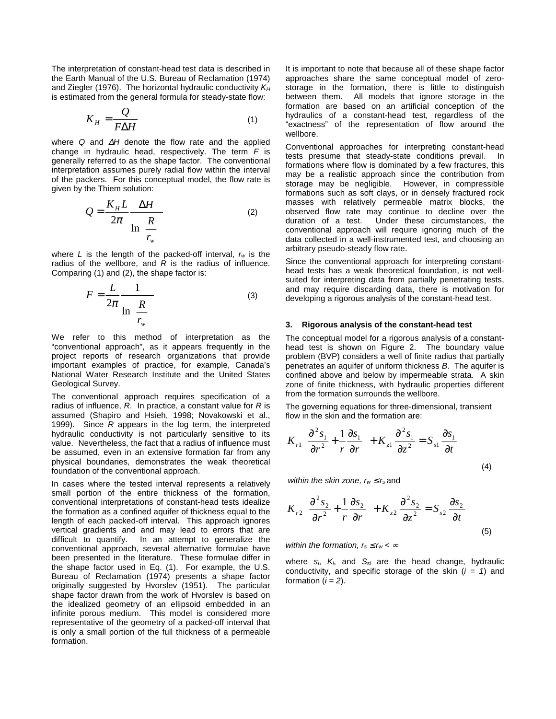The interpretation of constant-head test data is described in the Earth Manual of the U.S. Bureau of Reclamation (1974) and Ziegler (1976). The horizontal hydraulic conductivity *KH* is estimated from the general formula for steady-state flow:

$$
K_H = \frac{Q}{F\Delta H} \tag{1}
$$

where *Q* and ∆*H* denote the flow rate and the applied change in hydraulic head, respectively. The term *F* is generally referred to as the shape factor. The conventional interpretation assumes purely radial flow within the interval of the packers. For this conceptual model, the flow rate is given by the Thiem solution:

$$
Q = \frac{K_H L}{2\pi} \frac{\Delta H}{\ln\left\{\frac{R}{r_w}\right\}}
$$
 (2)

where *L* is the length of the packed-off interval, *rw* is the radius of the wellbore, and *R* is the radius of influence. Comparing (1) and (2), the shape factor is:

$$
F = \frac{L}{2\pi} \frac{1}{\ln\left\{\frac{R}{r_w}\right\}}\tag{3}
$$

We refer to this method of interpretation as the "conventional approach", as it appears frequently in the project reports of research organizations that provide important examples of practice, for example, Canada's National Water Research Institute and the United States Geological Survey.

The conventional approach requires specification of a radius of influence, *R*. In practice, a constant value for *R* is assumed (Shapiro and Hsieh, 1998; Novakowski et al., 1999). Since *R* appears in the log term, the interpreted hydraulic conductivity is not particularly sensitive to its value. Nevertheless, the fact that a radius of influence must be assumed, even in an extensive formation far from any physical boundaries, demonstrates the weak theoretical foundation of the conventional approach.

In cases where the tested interval represents a relatively small portion of the entire thickness of the formation, conventional interpretations of constant-head tests idealize the formation as a confined aquifer of thickness equal to the length of each packed-off interval. This approach ignores vertical gradients and and may lead to errors that are difficult to quantify. In an attempt to generalize the conventional approach, several alternative formulae have been presented in the literature. These formulae differ in the shape factor used in Eq. (1). For example, the U.S. Bureau of Reclamation (1974) presents a shape factor originally suggested by Hvorslev (1951). The particular shape factor drawn from the work of Hvorslev is based on the idealized geometry of an ellipsoid embedded in an infinite porous medium. This model is considered more representative of the geometry of a packed-off interval that is only a small portion of the full thickness of a permeable formation.

It is important to note that because all of these shape factor approaches share the same conceptual model of zerostorage in the formation, there is little to distinguish between them. All models that ignore storage in the formation are based on an artificial conception of the hydraulics of a constant-head test, regardless of the "exactness" of the representation of flow around the wellbore.

Conventional approaches for interpreting constant-head tests presume that steady-state conditions prevail. In formations where flow is dominated by a few fractures, this may be a realistic approach since the contribution from storage may be negligible. However, in compressible formations such as soft clays, or in densely fractured rock masses with relatively permeable matrix blocks, the observed flow rate may continue to decline over the duration of a test. Under these circumstances, the conventional approach will require ignoring much of the data collected in a well-instrumented test, and choosing an arbitrary pseudo-steady flow rate.

Since the conventional approach for interpreting constanthead tests has a weak theoretical foundation, is not wellsuited for interpreting data from partially penetrating tests, and may require discarding data, there is motivation for developing a rigorous analysis of the constant-head test.

### **3. Rigorous analysis of the constant-head test**

The conceptual model for a rigorous analysis of a constanthead test is shown on Figure 2. The boundary value problem (BVP) considers a well of finite radius that partially penetrates an aquifer of uniform thickness *B*. The aquifer is confined above and below by impermeable strata. A skin zone of finite thickness, with hydraulic properties different from the formation surrounds the wellbore.

The governing equations for three-dimensional, transient flow in the skin and the formation are:

$$
K_{r1}\left(\frac{\partial^2 s_1}{\partial r^2} + \frac{1}{r}\frac{\partial s_1}{\partial r}\right) + K_{z1}\frac{\partial^2 s_1}{\partial z^2} = S_{s1}\frac{\partial s_1}{\partial t}
$$
\n(4)

*within the skin zone,*  $r_w \le r_s$  *and* 

$$
K_{r2}\left(\frac{\partial^2 s_2}{\partial r^2} + \frac{1}{r}\frac{\partial s_2}{\partial r}\right) + K_{z2}\frac{\partial^2 s_2}{\partial z^2} = S_{s2}\frac{\partial s_2}{\partial t}
$$
(5)

*within the formation,*  $r_s \le r_w < \infty$ 

where *si*, *Ki*, and *Ssi* are the head change, hydraulic conductivity, and specific storage of the skin (*i = 1*) and formation  $(i = 2)$ .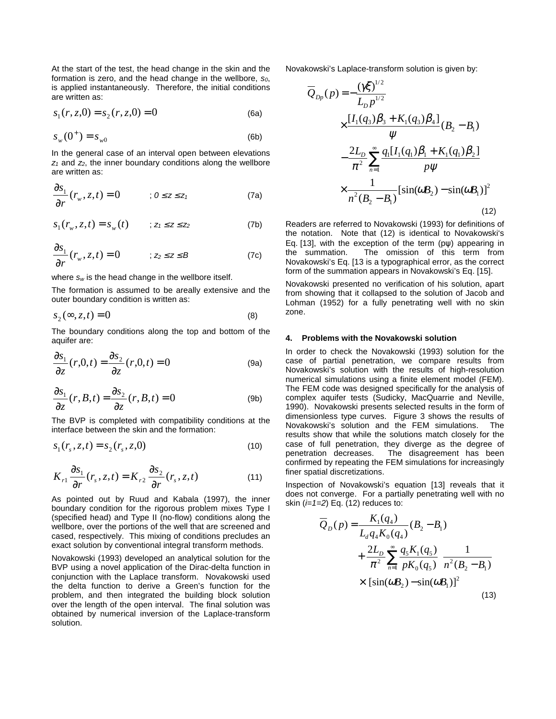At the start of the test, the head change in the skin and the formation is zero, and the head change in the wellbore,  $s_0$ , is applied instantaneously. Therefore, the initial conditions are written as:

$$
s_1(r, z, 0) = s_2(r, z, 0) = 0
$$
 (6a)

$$
s_w(0^+) = s_{w0} \tag{6b}
$$

In the general case of an interval open between elevations  $z_1$  and  $z_2$ , the inner boundary conditions along the wellbore are written as:

$$
\frac{\partial s_1}{\partial r}(r_w, z, t) = 0 \qquad ; 0 \le z \le z_1 \tag{7a}
$$

$$
S_1(r_w, z, t) = S_w(t) \qquad ; z_1 \le z \le z_2 \tag{7b}
$$

$$
\frac{\partial s_1}{\partial r}(r_w, z, t) = 0 \qquad ; z_2 \le z \le B \tag{7c}
$$

where *sw* is the head change in the wellbore itself.

The formation is assumed to be areally extensive and the outer boundary condition is written as:

$$
s_2(\infty, z, t) = 0 \tag{8}
$$

The boundary conditions along the top and bottom of the aquifer are:

$$
\frac{\partial s_1}{\partial z}(r,0,t) = \frac{\partial s_2}{\partial z}(r,0,t) = 0
$$
 (9a)

$$
\frac{\partial s_1}{\partial z}(r, B, t) = \frac{\partial s_2}{\partial z}(r, B, t) = 0
$$
 (9b)

The BVP is completed with compatibility conditions at the interface between the skin and the formation:

$$
s_1(r_s, z, t) = s_2(r_s, z, 0)
$$
\n(10)

$$
K_{r1} \frac{\partial s_1}{\partial r}(r_s, z, t) = K_{r2} \frac{\partial s_2}{\partial r}(r_s, z, t)
$$
 (11)

As pointed out by Ruud and Kabala (1997), the inner boundary condition for the rigorous problem mixes Type I (specified head) and Type II (no-flow) conditions along the wellbore, over the portions of the well that are screened and cased, respectively. This mixing of conditions precludes an exact solution by conventional integral transform methods.

Novakowski (1993) developed an analytical solution for the BVP using a novel application of the Dirac-delta function in conjunction with the Laplace transform. Novakowski used the delta function to derive a Green's function for the problem, and then integrated the building block solution over the length of the open interval. The final solution was obtained by numerical inversion of the Laplace-transform solution.

Novakowski's Laplace-transform solution is given by:  $1/2$ 

$$
\overline{Q}_{Dp}(p) = -\frac{(\gamma \xi)^{1/2}}{L_D p^{1/2}}\n\times \frac{[I_1(q_3)\beta_3 + K_1(q_3)\beta_4]}{\psi} (B_2 - B_1)\n- \frac{2L_D}{\pi^2} \sum_{n=1}^{\infty} \frac{q_1[I_1(q_1)\beta_1 + K_1(q_1)\beta_2]}{p\psi}\n\times \frac{1}{n^2(B_2 - B_1)} [\sin(\omega B_2) - \sin(\omega B_1)]^2
$$
\n(12)

Readers are referred to Novakowski (1993) for definitions of the notation. Note that (12) is identical to Novakowski's Eq. [13], with the exception of the term (pψ) appearing in the summation. The omission of this term from Novakowski's Eq. [13 is a typographical error, as the correct form of the summation appears in Novakowski's Eq. [15].

Novakowski presented no verification of his solution, apart from showing that it collapsed to the solution of Jacob and Lohman (1952) for a fully penetrating well with no skin zone.

#### **4. Problems with the Novakowski solution**

In order to check the Novakowski (1993) solution for the case of partial penetration, we compare results from Novakowski's solution with the results of high-resolution numerical simulations using a finite element model (FEM). The FEM code was designed specifically for the analysis of complex aquifer tests (Sudicky, MacQuarrie and Neville, 1990). Novakowski presents selected results in the form of dimensionless type curves. Figure 3 shows the results of Novakowski's solution and the FEM simulations. The results show that while the solutions match closely for the case of full penetration, they diverge as the degree of penetration decreases. The disagreement has been confirmed by repeating the FEM simulations for increasingly finer spatial discretizations.

Inspection of Novakowski's equation [13] reveals that it does not converge. For a partially penetrating well with no skin (*i=1=2*) Eq. (12) reduces to:

$$
\overline{Q}_{D}(p) = \frac{K_{1}(q_{4})}{L_{d}q_{4}K_{0}(q_{4})}(B_{2} - B_{1}) + \frac{2L_{D}}{\pi^{2}} \sum_{n=1}^{\infty} \frac{q_{5}K_{1}(q_{5})}{pK_{0}(q_{5})} \frac{1}{n^{2}(B_{2} - B_{1})} \times [\sin(\omega B_{2}) - \sin(\omega B_{1})]^{2}
$$
\n(13)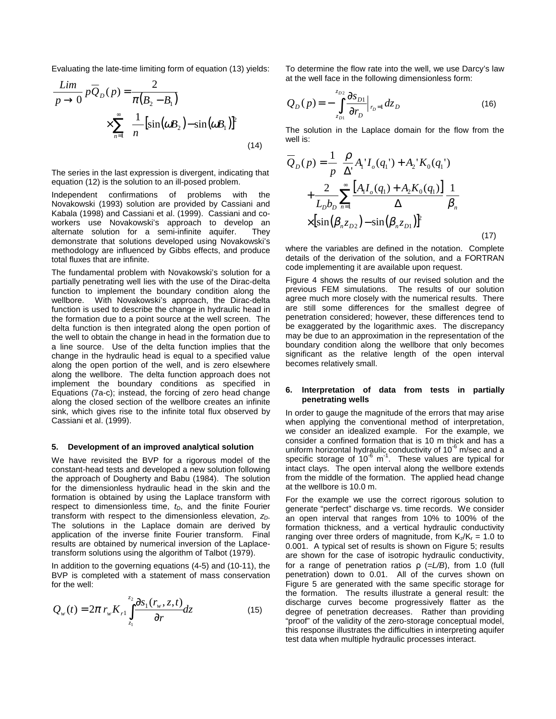Evaluating the late-time limiting form of equation (13) yields:

$$
\frac{\lim_{p \to 0} p\overline{Q}_D(p) = \frac{2}{\pi(B_2 - B_1)}
$$

$$
\times \sum_{n=1}^{\infty} \frac{1}{n} [\sin(\omega B_2) - \sin(\omega B_1)]^2
$$
(14)

The series in the last expression is divergent, indicating that equation (12) is the solution to an ill-posed problem.

Independent confirmations of problems with the Novakowski (1993) solution are provided by Cassiani and Kabala (1998) and Cassiani et al. (1999). Cassiani and coworkers use Novakowski's approach to develop an alternate solution for a semi-infinite aquifer. They demonstrate that solutions developed using Novakowski's methodology are influenced by Gibbs effects, and produce total fluxes that are infinite.

The fundamental problem with Novakowski's solution for a partially penetrating well lies with the use of the Dirac-delta function to implement the boundary condition along the wellbore. With Novakowski's approach, the Dirac-delta function is used to describe the change in hydraulic head in the formation due to a point source at the well screen. The delta function is then integrated along the open portion of the well to obtain the change in head in the formation due to a line source. Use of the delta function implies that the change in the hydraulic head is equal to a specified value along the open portion of the well, and is zero elsewhere along the wellbore. The delta function approach does not implement the boundary conditions as specified in Equations (7a-c); instead, the forcing of zero head change along the closed section of the wellbore creates an infinite sink, which gives rise to the infinite total flux observed by Cassiani et al. (1999).

#### **5. Development of an improved analytical solution**

We have revisited the BVP for a rigorous model of the constant-head tests and developed a new solution following the approach of Dougherty and Babu (1984). The solution for the dimensionless hydraulic head in the skin and the formation is obtained by using the Laplace transform with respect to dimensionless time,  $t_D$ , and the finite Fourier transform with respect to the dimensionless elevation,  $z_D$ . The solutions in the Laplace domain are derived by application of the inverse finite Fourier transform. Final results are obtained by numerical inversion of the Laplacetransform solutions using the algorithm of Talbot (1979).

In addition to the governing equations (4-5) and (10-11), the BVP is completed with a statement of mass conservation for the well:

$$
Q_{w}(t) = 2\pi r_{w} K_{r1} \int_{z_{1}}^{z_{2}} \frac{\partial s_{1}(r_{w}, z, t)}{\partial r} dz
$$
 (15)

To determine the flow rate into the well, we use Darcy's law at the well face in the following dimensionless form:

$$
Q_{D}(p) = -\int_{z_{D1}}^{z_{D2}} \frac{\partial s_{D1}}{\partial r_{D}} \Big|_{r_{D}=1} dz_{D}
$$
 (16)

The solution in the Laplace domain for the flow from the well is:

$$
\overline{Q}_{D}(p) = \frac{1}{p} \left[ \frac{\rho}{\Delta'} A_{1}^{\dagger} I_{o}(q_{1}^{\dagger}) + A_{2}^{\dagger} K_{0}(q_{1}^{\dagger}) \right] + \frac{2}{L_{D} b_{D}} \sum_{n=1}^{\infty} \frac{\left[ A_{1} I_{o}(q_{1}) + A_{2} K_{0}(q_{1}) \right]}{\Delta} \frac{1}{\beta_{n}} \times \left[ \sin(\beta_{n} z_{D2}) - \sin(\beta_{n} z_{D1}) \right]^{2}
$$
\n(17)

where the variables are defined in the notation. Complete details of the derivation of the solution, and a FORTRAN code implementing it are available upon request.

Figure 4 shows the results of our revised solution and the previous FEM simulations. The results of our solution agree much more closely with the numerical results. There are still some differences for the smallest degree of penetration considered; however, these differences tend to be exaggerated by the logarithmic axes. The discrepancy may be due to an approximation in the representation of the boundary condition along the wellbore that only becomes significant as the relative length of the open interval becomes relatively small.

#### **6. Interpretation of data from tests in partially penetrating wells**

In order to gauge the magnitude of the errors that may arise when applying the conventional method of interpretation, we consider an idealized example. For the example, we consider a confined formation that is 10 m thick and has a uniform horizontal hydraulic conductivity of  $10^{-6}$  m/sec and a specific storage of  $10^{-6}$  m<sup>-1</sup>. These values are typical for intact clays. The open interval along the wellbore extends from the middle of the formation. The applied head change at the wellbore is 10.0 m.

For the example we use the correct rigorous solution to generate "perfect" discharge vs. time records. We consider an open interval that ranges from 10% to 100% of the formation thickness, and a vertical hydraulic conductivity ranging over three orders of magnitude, from  $K_z/K_r = 1.0$  to 0.001. A typical set of results is shown on Figure 5; results are shown for the case of isotropic hydraulic conductivity, for a range of penetration ratios ρ (=*L/B*), from 1.0 (full penetration) down to 0.01. All of the curves shown on Figure 5 are generated with the same specific storage for the formation. The results illustrate a general result: the discharge curves become progressively flatter as the degree of penetration decreases. Rather than providing "proof" of the validity of the zero-storage conceptual model, this response illustrates the difficulties in interpreting aquifer test data when multiple hydraulic processes interact.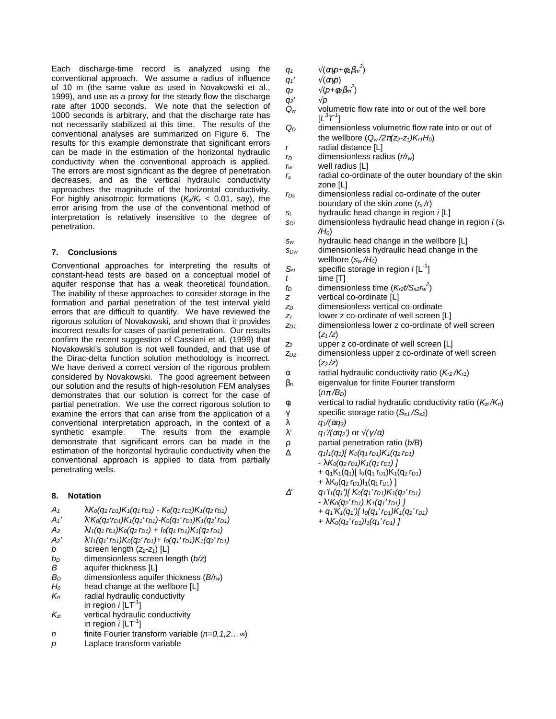Each discharge-time record is analyzed using the conventional approach. We assume a radius of influence of 10 m (the same value as used in Novakowski et al., 1999), and use as a proxy for the steady flow the discharge rate after 1000 seconds. We note that the selection of 1000 seconds is arbitrary, and that the discharge rate has not necessarily stabilized at this time. The results of the conventional analyses are summarized on Figure 6. The results for this example demonstrate that significant errors can be made in the estimation of the horizontal hydraulic conductivity when the conventional approach is applied. The errors are most significant as the degree of penetration decreases, and as the vertical hydraulic conductivity approaches the magnitude of the horizontal conductivity. For highly anisotropic formations (*Kz/Kr* < 0.01, say), the error arising from the use of the conventional method of interpretation is relatively insensitive to the degree of penetration.

# **7. Conclusions**

Conventional approaches for interpreting the results of constant-head tests are based on a conceptual model of aquifer response that has a weak theoretical foundation. The inability of these approaches to consider storage in the formation and partial penetration of the test interval yield errors that are difficult to quantify. We have reviewed the rigorous solution of Novakowski, and shown that it provides incorrect results for cases of partial penetration. Our results confirm the recent suggestion of Cassiani et al. (1999) that Novakowski's solution is not well founded, and that use of the Dirac-delta function solution methodology is incorrect. We have derived a correct version of the rigorous problem considered by Novakowski. The good agreement between our solution and the results of high-resolution FEM analyses demonstrates that our solution is correct for the case of partial penetration. We use the correct rigorous solution to examine the errors that can arise from the application of a conventional interpretation approach, in the context of a The results from the example demonstrate that significant errors can be made in the estimation of the horizontal hydraulic conductivity when the conventional approach is applied to data from partially penetrating wells.

# **8. Notation**

- $A_1$   $\lambda K_0(q_2 r_{D1})K_1(q_1 r_{D1}) K_0(q_1 r_{D1})K_1(q_2 r_{D1})$
- *A1'* λ'*K0(q2'rD1)K1(q1' rD1)-K0(q1' rD1)K1(q2' rD1)*
- $A_2$   $\lambda I_1(q_1 r_{D1})K_0(q_2 r_{D1}) + I_0(q_1 r_{D1})K_1(q_2 r_{D1})$
- $A_2'$   $\lambda' I_1(q_1' r_{D1}) K_0(q_2' r_{D1}) + I_0(q_1' r_{D1}) K_1(q_2' r_{D1})$
- *b* screen length  $(z_2-z_1)$  [L]
- *bD* dimensionless screen length (*b/z*)
- aquifer thickness [L]
- *BD* dimensionless aquifer thickness (*B/rw*)
- *H0* head change at the wellbore [L]
- *Kri* radial hydraulic conductivity
- in region  $i$   $[LT^{-1}]$
- *Kzi* vertical hydraulic conductivity in region  $i$  [LT<sup>-1</sup>]
- *n* finite Fourier transform variable (*n=0,1,2…*∞)
- *p* Laplace transform variable
- *q<sub>1</sub>*  $\sqrt{(\alpha \gamma p + \phi_1 \beta_m^2)}$
- *q<sub>1</sub>'*  $\sqrt{(\alpha \gamma p)}$
- *q*<sub>2</sub>  $\sqrt{(p+ \phi_2 \beta_m)^2}$
- *q<sub>2</sub>'* √*p*<br>*Q<sub>w</sub>* ∨olu
	- volumetric flow rate into or out of the well bore  $[L^3T^1]$
- *QD* dimensionless volumetric flow rate into or out of the wellbore  $(Q_w/2\pi(Z_2-Z_1)K_{r1}H_0)$ *r* radial distance [L]
- *rD* dimensionless radius (*r/rw*)
- *rw* well radius [L]
- *rs* radial co-ordinate of the outer boundary of the skin zone [L]
- *rDs* dimensionless radial co-ordinate of the outer boundary of the skin zone (*rs /r*)
- *si* hydraulic head change in region *i* [L]
- *sDi* dimensionless hydraulic head change in region *i* (*si /H0*)
- *sw* hydraulic head change in the wellbore [L]
- *sDw* dimensionless hydraulic head change in the wellbore (*sw /H0*)
- $S_{si}$  specific storage in region  $i[L^{-1}]$
- *t* time [T]  $t_D$  dimensionless time  $(K_{r2} t / S_{s2} r_w^2)$
- *z* vertical co-ordinate [L]
- z<sub>D</sub> dimensionless vertical co-ordinate
- *z1* lower z co-ordinate of well screen [L]
- *zD1* dimensionless lower z co-ordinate of well screen (*z1 /z*)
- *z2* upper z co-ordinate of well screen [L]
- z<sub>D2</sub> dimensionless upper z co-ordinate of well screen (*z2 /z*)
- α radial hydraulic conductivity ratio (*Kr2 /Kr1*)
- $\beta_n$  eigenvalue for finite Fourier transform
- (*n*π */BD*) φi vertical to radial hydraulic conductivity ratio (*Kzi /Kri*)
- γ specific storage ratio (*Ss1 /Ss2*)
- λ *q1/(*α*q2)*
- λ' *q1'/(*α*q2')* or √*(*γ */*α*)*
- ρ partial penetration ratio (*b/B*)
- ∆ *q1I1(q1)[ K0(q1 rD1)K1(q2 rD1)* 
	- $\lambda K_0(q_2 r_{D1}) K_1(q_1 r_{D1})$  ]
		- +  $q_1K_1(q_1)$ [  $l_0(q_1 r_{D1})K_1(q_2 r_{D1})$
		- +  $\lambda$ K<sub>0</sub>(q<sub>2</sub> r<sub>D1</sub>)|<sub>1</sub>(q<sub>1</sub> r<sub>D1</sub>) ]
- <sup>∆</sup>*' q1'I1(q1')[ K0(q1'rD1)K1(q2'rD1)* 
	- λ'*K0(q2'rD1) K1(q1'rD1) ]* 
		- *+ q1'K1(q1')[ I0(q1'rD1)K1(q2'rD1)*
		- *+* λ*K0(q2'rD1)I1(q1'rD1) ]*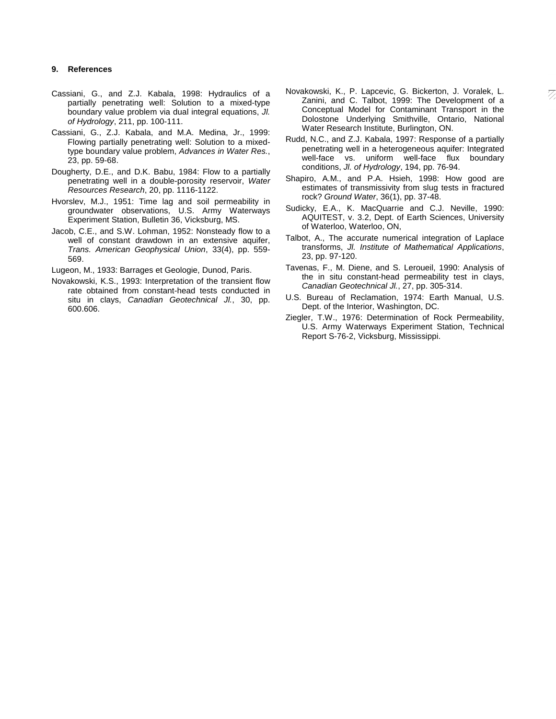## **9. References**

- Cassiani, G., and Z.J. Kabala, 1998: Hydraulics of a partially penetrating well: Solution to a mixed-type boundary value problem via dual integral equations, *Jl. of Hydrology*, 211, pp. 100-111.
- Cassiani, G., Z.J. Kabala, and M.A. Medina, Jr., 1999: Flowing partially penetrating well: Solution to a mixedtype boundary value problem, *Advances in Water Res.*, 23, pp. 59-68.
- Dougherty, D.E., and D.K. Babu, 1984: Flow to a partially penetrating well in a double-porosity reservoir, *Water Resources Research*, 20, pp. 1116-1122.
- Hvorslev, M.J., 1951: Time lag and soil permeability in groundwater observations, U.S. Army Waterways Experiment Station, Bulletin 36, Vicksburg, MS.
- Jacob, C.E., and S.W. Lohman, 1952: Nonsteady flow to a well of constant drawdown in an extensive aquifer, *Trans. American Geophysical Union*, 33(4), pp. 559- 569.

Lugeon, M., 1933: Barrages et Geologie, Dunod, Paris.

Novakowski, K.S., 1993: Interpretation of the transient flow rate obtained from constant-head tests conducted in situ in clays, *Canadian Geotechnical Jl.*, 30, pp. 600.606.

- Novakowski, K., P. Lapcevic, G. Bickerton, J. Voralek, L. Zanini, and C. Talbot, 1999: The Development of a Conceptual Model for Contaminant Transport in the Dolostone Underlying Smithville, Ontario, National Water Research Institute, Burlington, ON.
- Rudd, N.C., and Z.J. Kabala, 1997: Response of a partially penetrating well in a heterogeneous aquifer: Integrated well-face vs. uniform well-face flux boundary conditions, *Jl. of Hydrology*, 194, pp. 76-94.
- Shapiro, A.M., and P.A. Hsieh, 1998: How good are estimates of transmissivity from slug tests in fractured rock? *Ground Water*, 36(1), pp. 37-48.
- Sudicky, E.A., K. MacQuarrie and C.J. Neville, 1990: AQUITEST, v. 3.2, Dept. of Earth Sciences, University of Waterloo, Waterloo, ON,
- Talbot, A., The accurate numerical integration of Laplace transforms, *Jl. Institute of Mathematical Applications*, 23, pp. 97-120.
- Tavenas, F., M. Diene, and S. Leroueil, 1990: Analysis of the in situ constant-head permeability test in clays, *Canadian Geotechnical Jl.*, 27, pp. 305-314.
- U.S. Bureau of Reclamation, 1974: Earth Manual, U.S. Dept. of the Interior, Washington, DC.
- Ziegler, T.W., 1976: Determination of Rock Permeability, U.S. Army Waterways Experiment Station, Technical Report S-76-2, Vicksburg, Mississippi.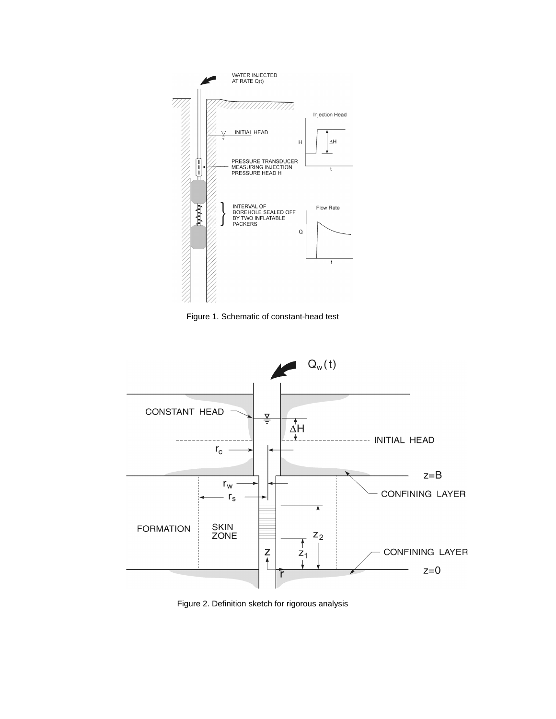

Figure 1. Schematic of constant-head test



Figure 2. Definition sketch for rigorous analysis